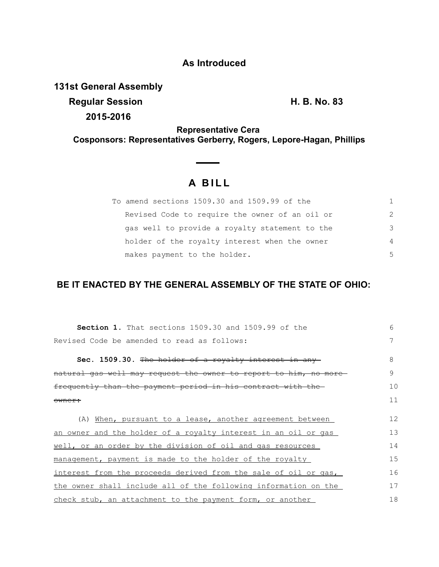## **As Introduced**

**131st General Assembly**

**Regular Session H. B. No. 83 2015-2016**

**Representative Cera Cosponsors: Representatives Gerberry, Rogers, Lepore-Hagan, Phillips**

## **A B I L L**

| To amend sections 1509.30 and 1509.99 of the   | 1.            |
|------------------------------------------------|---------------|
| Revised Code to require the owner of an oil or | $\mathcal{P}$ |
| gas well to provide a royalty statement to the | 3             |
| holder of the royalty interest when the owner  | 4             |
| makes payment to the holder.                   | 5             |

## **BE IT ENACTED BY THE GENERAL ASSEMBLY OF THE STATE OF OHIO:**

| <b>Section 1.</b> That sections 1509.30 and 1509.99 of the       | 6  |
|------------------------------------------------------------------|----|
| Revised Code be amended to read as follows:                      | 7  |
| Sec. 1509.30. The holder of a royalty interest in any            | 8  |
| natural gas well may request the owner to report to him, no more | 9  |
| frequently than the payment period in his contract with the      | 10 |
| owner:                                                           | 11 |
|                                                                  |    |
| (A) When, pursuant to a lease, another agreement between         | 12 |
| an owner and the holder of a royalty interest in an oil or gas   | 13 |
| well, or an order by the division of oil and gas resources       | 14 |
| management, payment is made to the holder of the royalty         | 15 |
| interest from the proceeds derived from the sale of oil or gas,  | 16 |
| the owner shall include all of the following information on the  | 17 |
| check stub, an attachment to the payment form, or another        | 18 |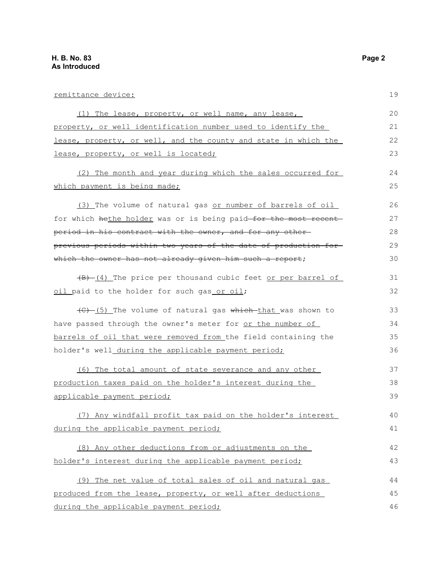| <u>remittance device:</u>                                        | 19 |
|------------------------------------------------------------------|----|
| (1) The lease, property, or well name, any lease,                | 20 |
| property, or well identification number used to identify the     | 21 |
| lease, property, or well, and the county and state in which the  | 22 |
| lease, property, or well is located;                             | 23 |
| (2) The month and year during which the sales occurred for       | 24 |
| which payment is being made;                                     | 25 |
| (3) The volume of natural gas or number of barrels of oil        | 26 |
| for which hethe holder was or is being paid for the most recent  | 27 |
| period in his contract with the owner, and for any other-        | 28 |
| previous periods within two years of the date of production for- | 29 |
| which the owner has not already given him such a report;         | 30 |
| (4) The price per thousand cubic feet or per barrel of           | 31 |
| oil paid to the holder for such gas or oil;                      | 32 |
| (C) (5) The volume of natural gas which that was shown to        | 33 |
| have passed through the owner's meter for or the number of       | 34 |
| barrels of oil that were removed from the field containing the   | 35 |
| holder's well_during the applicable payment period;              | 36 |
| <u>(6) The total amount of state severance and any other</u>     | 37 |
| production taxes paid on the holder's interest during the        | 38 |
| applicable payment period;                                       | 39 |
| (7) Any windfall profit tax paid on the holder's interest        | 40 |
| during the applicable payment period;                            | 41 |
| (8) Any other deductions from or adjustments on the              | 42 |
| holder's interest during the applicable payment period;          | 43 |
| (9) The net value of total sales of oil and natural gas          | 44 |
| produced from the lease, property, or well after deductions      | 45 |
| during the applicable payment period;                            | 46 |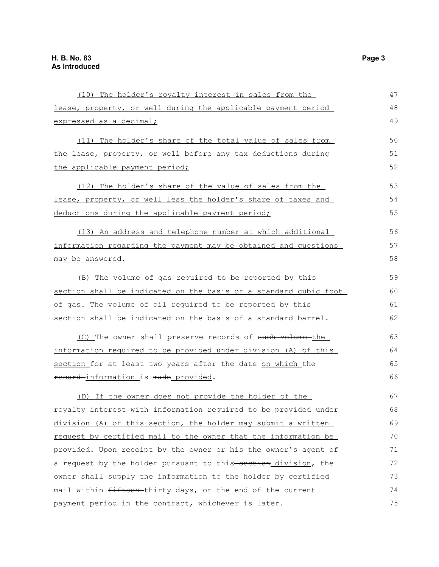| (10) The holder's royalty interest in sales from the             | 47 |
|------------------------------------------------------------------|----|
| lease, property, or well during the applicable payment period    | 48 |
| expressed as a decimal;                                          | 49 |
| (11) The holder's share of the total value of sales from         | 50 |
| the lease, property, or well before any tax deductions during    | 51 |
| the applicable payment period;                                   | 52 |
| (12) The holder's share of the value of sales from the           | 53 |
| lease, property, or well less the holder's share of taxes and    | 54 |
| deductions during the applicable payment period;                 | 55 |
| (13) An address and telephone number at which additional         | 56 |
| information regarding the payment may be obtained and questions  | 57 |
| may be answered.                                                 | 58 |
| (B) The volume of gas required to be reported by this            | 59 |
| section shall be indicated on the basis of a standard cubic foot | 60 |
| of gas. The volume of oil required to be reported by this        | 61 |
| section shall be indicated on the basis of a standard barrel.    | 62 |
| (C) The owner shall preserve records of such volume-the          | 63 |
| information required to be provided under division (A) of this   | 64 |
| section for at least two years after the date on which the       | 65 |
| record-information is made provided.                             | 66 |
| (D) If the owner does not provide the holder of the              | 67 |
| royalty interest with information required to be provided under  | 68 |
| division (A) of this section, the holder may submit a written    | 69 |
| request by certified mail to the owner that the information be   | 70 |
| provided. Upon receipt by the owner or-his the owner's agent of  | 71 |
| a request by the holder pursuant to this-section_division, the   | 72 |
| owner shall supply the information to the holder by certified    | 73 |
| mail within fifteen-thirty days, or the end of the current       | 74 |
| payment period in the contract, whichever is later.              | 75 |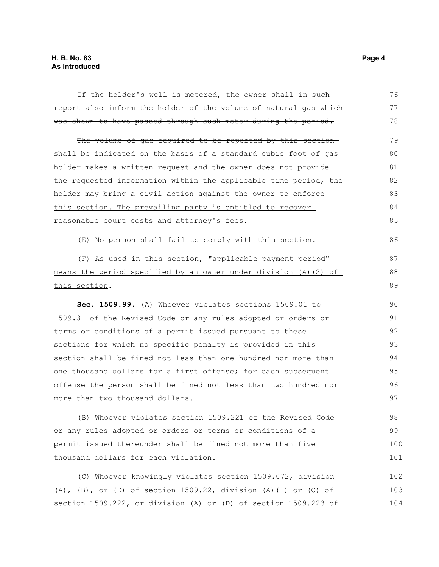| If the holder's well is metered, the owner shall in such-        | 76  |
|------------------------------------------------------------------|-----|
| report also inform the holder of the volume of natural gas which | 77  |
| was shown to have passed through such meter during the period.   | 78  |
| The volume of gas required to be reported by this section        | 79  |
| shall be indicated on the basis of a standard cubic foot of gas- | 80  |
| holder makes a written request and the owner does not provide    | 81  |
| the requested information within the applicable time period, the | 82  |
| holder may bring a civil action against the owner to enforce     | 83  |
| this section. The prevailing party is entitled to recover        | 84  |
| reasonable court costs and attorney's fees.                      | 85  |
| (E) No person shall fail to comply with this section.            | 86  |
| (F) As used in this section, "applicable payment period"         | 87  |
| means the period specified by an owner under division (A)(2) of  | 88  |
| this section.                                                    | 89  |
| Sec. 1509.99. (A) Whoever violates sections 1509.01 to           | 90  |
| 1509.31 of the Revised Code or any rules adopted or orders or    | 91  |
| terms or conditions of a permit issued pursuant to these         | 92  |
| sections for which no specific penalty is provided in this       | 93  |
| section shall be fined not less than one hundred nor more than   | 94  |
| one thousand dollars for a first offense; for each subsequent    | 95  |
| offense the person shall be fined not less than two hundred nor  | 96  |
| more than two thousand dollars.                                  | 97  |
| (B) Whoever violates section 1509.221 of the Revised Code        | 98  |
| or any rules adopted or orders or terms or conditions of a       | 99  |
| permit issued thereunder shall be fined not more than five       | 100 |
| thousand dollars for each violation.                             | 101 |
| (C) Whoever knowingly violates section 1509.072, division        | 102 |
| (A), (B), or (D) of section 1509.22, division (A)(1) or (C) of   | 103 |
| section 1509.222, or division (A) or (D) of section 1509.223 of  | 104 |